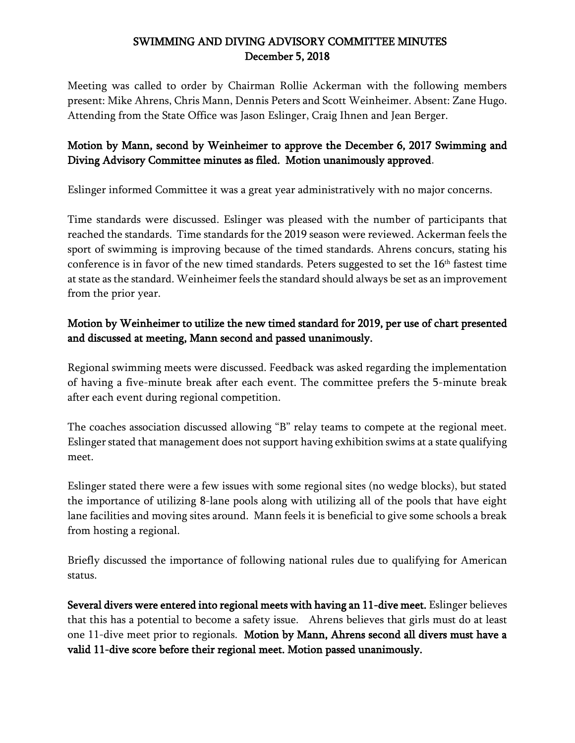## SWIMMING AND DIVING ADVISORY COMMITTEE MINUTES December 5, 2018

Meeting was called to order by Chairman Rollie Ackerman with the following members present: Mike Ahrens, Chris Mann, Dennis Peters and Scott Weinheimer. Absent: Zane Hugo. Attending from the State Office was Jason Eslinger, Craig Ihnen and Jean Berger.

## Motion by Mann, second by Weinheimer to approve the December 6, 2017 Swimming and Diving Advisory Committee minutes as filed. Motion unanimously approved.

Eslinger informed Committee it was a great year administratively with no major concerns.

Time standards were discussed. Eslinger was pleased with the number of participants that reached the standards. Time standards for the 2019 season were reviewed. Ackerman feels the sport of swimming is improving because of the timed standards. Ahrens concurs, stating his conference is in favor of the new timed standards. Peters suggested to set the  $16<sup>th</sup>$  fastest time at state as the standard. Weinheimer feels the standard should always be set as an improvement from the prior year.

## Motion by Weinheimer to utilize the new timed standard for 2019, per use of chart presented and discussed at meeting, Mann second and passed unanimously.

Regional swimming meets were discussed. Feedback was asked regarding the implementation of having a five-minute break after each event. The committee prefers the 5-minute break after each event during regional competition.

The coaches association discussed allowing "B" relay teams to compete at the regional meet. Eslinger stated that management does not support having exhibition swims at a state qualifying meet.

Eslinger stated there were a few issues with some regional sites (no wedge blocks), but stated the importance of utilizing 8-lane pools along with utilizing all of the pools that have eight lane facilities and moving sites around. Mann feels it is beneficial to give some schools a break from hosting a regional.

Briefly discussed the importance of following national rules due to qualifying for American status.

Several divers were entered into regional meets with having an 11-dive meet. Eslinger believes that this has a potential to become a safety issue. Ahrens believes that girls must do at least one 11-dive meet prior to regionals. Motion by Mann, Ahrens second all divers must have a valid 11-dive score before their regional meet. Motion passed unanimously.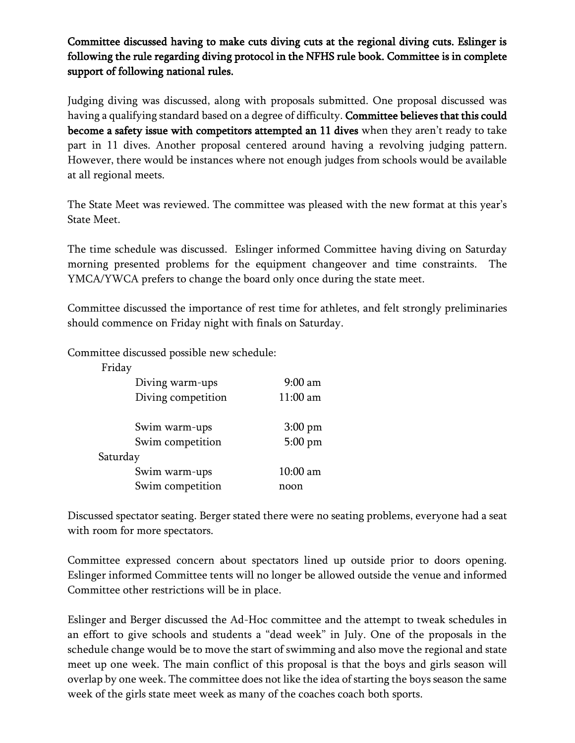Committee discussed having to make cuts diving cuts at the regional diving cuts. Eslinger is following the rule regarding diving protocol in the NFHS rule book. Committee is in complete support of following national rules.

Judging diving was discussed, along with proposals submitted. One proposal discussed was having a qualifying standard based on a degree of difficulty. Committee believes that this could become a safety issue with competitors attempted an 11 dives when they aren't ready to take part in 11 dives. Another proposal centered around having a revolving judging pattern. However, there would be instances where not enough judges from schools would be available at all regional meets.

The State Meet was reviewed. The committee was pleased with the new format at this year's State Meet.

The time schedule was discussed. Eslinger informed Committee having diving on Saturday morning presented problems for the equipment changeover and time constraints. The YMCA/YWCA prefers to change the board only once during the state meet.

Committee discussed the importance of rest time for athletes, and felt strongly preliminaries should commence on Friday night with finals on Saturday.

Committee discussed possible new schedule:

| Friday |                    |            |
|--------|--------------------|------------|
|        | Diving warm-ups    | $9:00$ am  |
|        | Diving competition | $11:00$ am |
|        | Swim warm-ups      | $3:00$ pm  |
|        | Swim competition   | 5:00 pm    |
|        | Saturday           |            |
|        | Swim warm-ups      | $10:00$ am |
|        | Swim competition   | noon       |

Discussed spectator seating. Berger stated there were no seating problems, everyone had a seat with room for more spectators.

Committee expressed concern about spectators lined up outside prior to doors opening. Eslinger informed Committee tents will no longer be allowed outside the venue and informed Committee other restrictions will be in place.

Eslinger and Berger discussed the Ad-Hoc committee and the attempt to tweak schedules in an effort to give schools and students a "dead week" in July. One of the proposals in the schedule change would be to move the start of swimming and also move the regional and state meet up one week. The main conflict of this proposal is that the boys and girls season will overlap by one week. The committee does not like the idea of starting the boys season the same week of the girls state meet week as many of the coaches coach both sports.